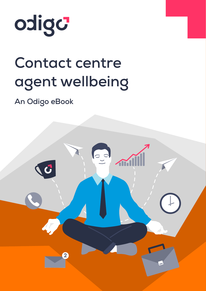

## **Contact centre agent wellbeing**

**An Odigo eBook** 

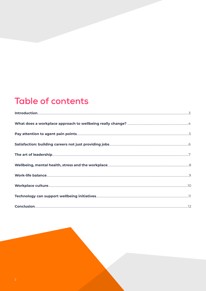### **Table of contents**

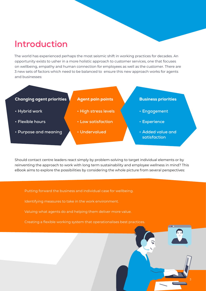### <span id="page-2-0"></span>**Introduction**

The world has experienced perhaps the most seismic shift in working practices for decades. An opportunity exists to usher in a more holistic approach to customer services, one that focuses on wellbeing, empathy and human connection for employees as well as the customer. There are 3 new sets of factors which need to be balanced to ensure this new approach works for agents and businesses:

### Changing agent priorities

- **• Hybrid work**
- **• Flexible hours**
- **• Purpose and meaning**

### Agent pain points

- **• High stress levels**
- **• Low satisfaction**
- **• Undervalued**

#### Business priorities

- **• Engagement**
- **• Experience**
- **• Added value and satisfaction**

3

Should contact centre leaders react simply by problem-solving to target individual elements or by reinventing the approach to work with long term sustainability and employee wellness in mind? This eBook aims to explore the possibilities by considering the whole picture from several perspectives:

Putting forward the business and individual case for wellbeing.

Identifying measures to take in the work environment.

Valuing what agents do and helping them deliver more value.

Creating a flexible working system that operationalises best practices.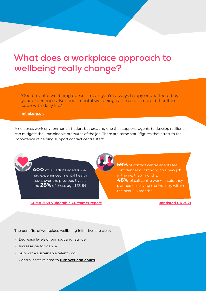### <span id="page-3-0"></span>**What does a workplace approach to wellbeing really change?**

"Good mental wellbeing doesn't mean you're always happy or unaffected by your experiences. But poor mental wellbeing can make it more difficult to cope with daily life."

#### **[mind.org.uk](https://www.mind.org.uk/information-support/tips-for-everyday-living/wellbeing/wellbeing/)**

A no-stress work environment is fiction, but creating one that supports agents to develop resilience can mitigate the unavoidable pressures of the job. There are some stark figures that attest to the importance of helping support contact centre staff:

> **40%** of UK adults aged 18-34 had experienced mental health issues over the previous 5 years and **28%** of those aged 35-54

**[CCMA 2021 Vulnerable Customer report](https://www.odigo.com/en-gb/blog-and-resources/resources/ccma-supporting-vulnerable-customers-in-the-contact-centre/) [Randstad UK 2021](https://www.randstad.co.uk/about-us/industry-insight/great-resignation/)**

**59%** of contact centre agents feel confident about moving to a new job in the next few months. **46%** of call centre workers said they planned on leaving the industry within the next 3-6 months.

The benefits of workplace wellbeing initiatives are clear:

- Decrease levels of burnout and fatigue,
- Increase performance,
- Support a sustainable talent pool,
- Control costs related to **[turnover and churn](https://www.odigo.com/en-gb/blog-and-resources/blog/reducing-agent-attrition-rates-in-your-contact-centre/)**.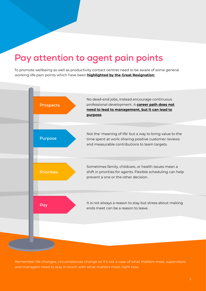### <span id="page-4-0"></span>**Pay attention to agent pain points**

To promote wellbeing as well as productivity contact centres need to be aware of some general working-life pain points which have been **[highlighted by the Great Resignation](https://www.theguardian.com/business/2022/jan/04/great-resignation-quitting-us-unemployment-economy)**;



Remember life changes, circumstances change so it's not a case of what matters most, supervisors and managers need to stay in touch with what matters most, right now.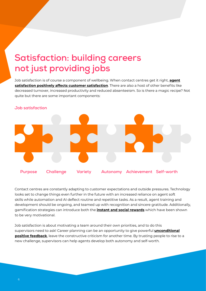### <span id="page-5-0"></span>**Satisfaction: building careers not just providing jobs**

Job satisfaction is of course a component of wellbeing. When contact centres get it right, **[agent](https://www.forbes.com/sites/ashiraprossack1/2019/05/31/employee-satisfaction-customer-satisfaction/?sh=61a47e785e2c) [satisfaction positively affects customer satisfaction](https://www.forbes.com/sites/ashiraprossack1/2019/05/31/employee-satisfaction-customer-satisfaction/?sh=61a47e785e2c)**. There are also a host of other benefits like decreased turnover, increased productivity and reduced absenteeism. So is there a magic recipe? Not quite but there are some important components:



Contact centres are constantly adapting to customer expectations and outside pressures. Technology looks set to change things even further in the future with an increased reliance on agent soft skills while automation and AI deflect routine and repetitive tasks. As a result, agent training and development should be ongoing, and teamed up with recognition and sincere gratitude. Additionally, gamification strategies can introduce both the **[instant and social rewards](https://www.youtube.com/watch?v=xp0O2vi8DX4)** which have been shown to be very motivational.

Job satisfaction is about motivating a team around their own priorities, and to do this supervisors need to ask! Career planning can be an opportunity to give powerful **[unconditional](https://www.mckinsey.com/business-functions/people-and-organizational-performance/our-insights/the-boss-factor-making-the-world-a-better-place-through-workplace-relationships) [positive feedback](https://www.mckinsey.com/business-functions/people-and-organizational-performance/our-insights/the-boss-factor-making-the-world-a-better-place-through-workplace-relationships)**, leave the constructive criticism for another time. By trusting people to rise to a new challenge, supervisors can help agents develop both autonomy and self-worth.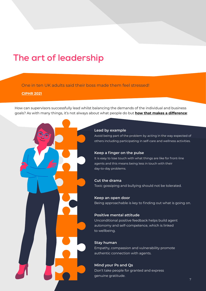### <span id="page-6-0"></span>**The art of leadership**

One in ten UK adults said their boss made them feel stressed!

**[CIPHR 2021](https://www.ciphr.com/workplace-stress-statistics/)**

How can supervisors successfully lead whilst balancing the demands of the individual and business goals? As with many things, it's not always about what people do but **[how that makes a difference](https://www.mckinsey.com/business-functions/people-and-organizational-performance/our-insights/the-boss-factor-making-the-world-a-better-place-through-workplace-relationships)**:

#### **Lead by example**

Avoid being part of the problem by acting in the way expected of others including participating in self-care and wellness activities.

#### **Keep a finger on the pulse**

It is easy to lose touch with what things are like for front-line agents and this means being less in touch with their day-to-day problems.

#### **Cut the drama**

Toxic gossiping and bullying should not be tolerated.

#### **Keep an open door**

Being approachable is key to finding out what is going on.

#### **Positive mental attitude**

Unconditional positive feedback helps build agent autonomy and self-competence, which is linked to wellbeing.

#### **Stay human**

Empathy, compassion and vulnerability promote authentic connection with agents.

#### **Mind your Ps and Qs**

Don't take people for granted and express genuine gratitude.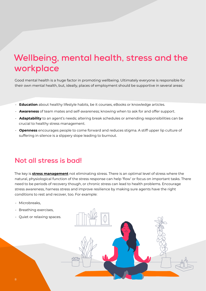### <span id="page-7-0"></span>**Wellbeing, mental health, stress and the workplace**

Good mental health is a huge factor in promoting wellbeing. Ultimately everyone is responsible for their own mental health, but, ideally, places of employment should be supportive in several areas:

- **Education** about healthy lifestyle habits, be it courses, eBooks or knowledge articles.
- **Awareness** of team mates and self-awareness; knowing when to ask for and offer support.
- **Adaptability** to an agent's needs; altering break schedules or amending responsibilities can be crucial to healthy stress management.
- **Openness** encourages people to come forward and reduces stigma. A stiff upper lip culture of suffering in silence is a slippery slope leading to burnout.

### **Not all stress is bad!**

The key is **[stress management](https://www.mckinsey.com/business-functions/people-and-organizational-performance/our-insights/how-to-turn-everyday-stress-into-optimal-stress)** not eliminating stress. There is an optimal level of stress where the natural, physiological function of the stress response can help 'flow' or focus on important tasks. There need to be periods of recovery though, or chronic stress can lead to health problems. Encourage stress awareness, harness stress and improve resilience by making sure agents have the right conditions to rest and recover, too. For example:

- Microbreaks,
- Breathing exercises,
- Quiet or relaxing spaces.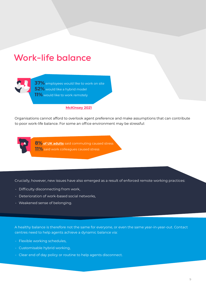### <span id="page-8-0"></span>**Work-life balance**



**37%** employees would like to work on site **52%** would like a hybrid model **11%** would like to work remotely

#### **[McKinsey 2021](https://www.mckinsey.com/business-functions/people-and-organizational-performance/our-insights/its-time-for-leaders-to-get-real-about-hybrid)**

Organisations cannot afford to overlook agent preference and make assumptions that can contribute to poor work-life balance. For some an office environment may be stressful:

**8% [of UK adults](https://www.ciphr.com/workplace-stress-statistics/)** said commuting caused stress **[11%](https://www.ciphr.com/workplace-stress-statistics/)** said work colleagues caused stress

Crucially, however, new issues have also emerged as a result of enforced remote working practices:

- Difficulty disconnecting from work,
- Deterioration of work-based social networks,
- Weakened sense of belonging.

A healthy balance is therefore not the same for everyone, or even the same year-in-year-out. Contact centres need to help agents achieve a dynamic balance via:

- Flexible working schedules,
- Customisable hybrid working,
- Clear end of day policy or routine to help agents disconnect.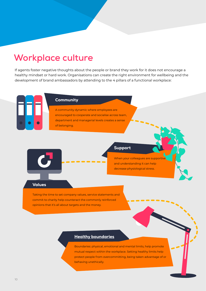### <span id="page-9-0"></span>**Workplace culture**

If agents foster negative thoughts about the people or brand they work for it does not encourage a healthy mindset or hard work. Organisations can create the right environment for wellbeing and the development of brand ambassadors by attending to the 4 pillars of a functional workplace:



#### **Community**

A community dynamic where employees are encouraged to cooperate and socialise across team, department and managerial levels creates a sense of belonging.

#### Support

When your colleagues are supportive and understanding it can help decrease physiological stress.

#### Values

Taking the time to set company values, service statements and commit to charity help counteract the commonly reinforced opinions that it's all about targets and the money.

#### **Healthy boundaries**

Boundaries: physical, emotional and mental limits, help promote mutual respect within the workplace. Setting healthy limits help protect people from overcommitting, being taken advantage of or behaving unethically.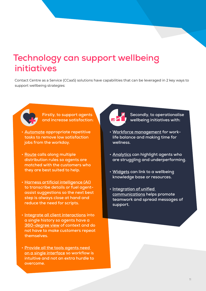### <span id="page-10-0"></span>**Technology can support wellbeing initiatives**

Contact Centre as a Service (CCaaS) solutions have capabilities that can be leveraged in 2 key ways to support wellbeing strategies:



**Firstly, to support agents and increase satisfaction:** 

- **• [Automate a](https://www.odigo.com/en-gb/products/automation/)ppropriate repetitive tasks to remove low satisfaction jobs from the workday.**
- **• [Route c](https://www.odigo.com/en-gb/products/routing/)alls along multiple distribution rules so agents are matched with the customers who they are best suited to help.**
- **• [Harness artificial intelligence \(AI\)](https://www.odigo.com/en-gb/products/routing/) to transcribe details or fuel agentassist suggestions so the next best step is always close at hand and reduce the need for scripts.**
- **• [Integrate all client interactions](https://www.odigo.com/en-gb/products/omnichannel/) into a single history so agents have a [360-degree view o](https://www.odigo.com/en-gb/products/engagement/360-client-view/)f context and do not have to make customers repeat themselves.**
- **• [Provide all the tools agents need](https://www.odigo.com/en-gb/products/engagement/unified-console/)  [on a single interface](https://www.odigo.com/en-gb/products/engagement/unified-console/) so workflow is intuitive and not an extra hurdle to overcome.**



**Secondly, to operationalise wellbeing initiatives with:**

- **• [Workforce management f](https://www.odigo.com/en-gb/products/performance-optimisation/workforce-management/)or worklife balance and making time for wellness.**
- **• [Analytics](https://www.odigo.com/en-gb/products/performance-optimisation/analytics/) can highlight agents who are struggling and underperforming.**
- **• [Widgets c](https://www.odigo.com/en-gb/products/engagement/interactive-widget/)an link to a wellbeing knowledge base or resources.**
- **• [Integration of unified](https://www.odigo.com/en-gb/products/cloud-platform/uc-integration/)  [communications h](https://www.odigo.com/en-gb/products/cloud-platform/uc-integration/)elps promote teamwork and spread messages of support.**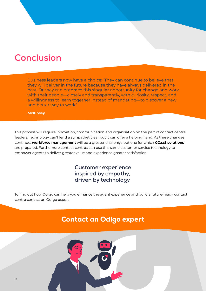### <span id="page-11-0"></span>**Conclusion**

Business leaders now have a choice: 'They can continue to believe that they will deliver in the future because they have always delivered in the past. Or they can embrace this singular opportunity for change and work with their people—closely and transparently, with curiosity, respect, and a willingness to learn together instead of mandating—to discover a new and better way to work.'

**[McKinsey](https://www.mckinsey.com/business-functions/people-and-organizational-performance/our-insights/its-time-for-leaders-to-get-real-about-hybrid)**

This process will require innovation, communication and organisation on the part of contact centre leaders. Technology can't lend a sympathetic ear but it can offer a helping hand. As these changes continue, **[workforce management](https://www.odigo.com/en-gb/products/performance-optimisation/workforce-management/)** will be a greater challenge but one for which **[CCaaS solutions](https://www.odigo.com/en-gb/products/)** are prepared. Furthemore contact centres can use this same customer service technology to empower agents to deliver greater value and experience greater satisfaction.

### **Customer experience** inspired by empathy, driven by technology

To find out how Odigo can help you enhance the agent experience and build a future-ready contact centre contact an Odigo expert

### [Contact an Odigo expert](mailto:contact.uk%40odigo.com?subject=)